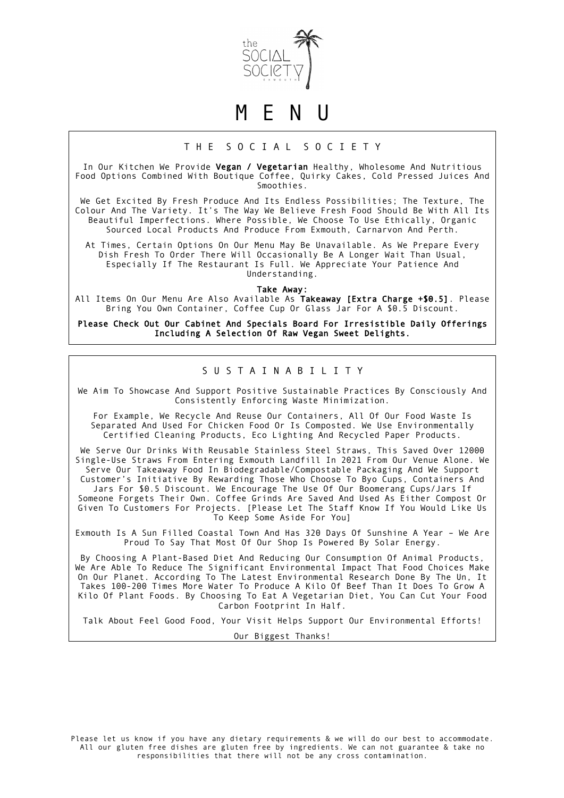

# M E N U

#### T H E S O C I A L S O C I E T Y

In Our Kitchen We Provide Vegan / Vegetarian Healthy, Wholesome And Nutritious Food Options Combined With Boutique Coffee, Quirky Cakes, Cold Pressed Juices And Smoothies.

We Get Excited By Fresh Produce And Its Endless Possibilities; The Texture, The Colour And The Variety. It's The Way We Believe Fresh Food Should Be With All Its Beautiful Imperfections. Where Possible, We Choose To Use Ethically, Organic Sourced Local Products And Produce From Exmouth, Carnarvon And Perth.

At Times, Certain Options On Our Menu May Be Unavailable. As We Prepare Every Dish Fresh To Order There Will Occasionally Be A Longer Wait Than Usual, Especially If The Restaurant Is Full. We Appreciate Your Patience And Understanding.

Take Away:

All Items On Our Menu Are Also Available As Takeaway [Extra Charge +\$0.5]. Please Bring You Own Container, Coffee Cup Or Glass Jar For A \$0.5 Discount.

Please Check Out Our Cabinet And Specials Board For Irresistible Daily Offerings Including A Selection Of Raw Vegan Sweet Delights.

#### S U S T A I N A B I L I T Y

We Aim To Showcase And Support Positive Sustainable Practices By Consciously And Consistently Enforcing Waste Minimization.

For Example, We Recycle And Reuse Our Containers, All Of Our Food Waste Is Separated And Used For Chicken Food Or Is Composted. We Use Environmentally Certified Cleaning Products, Eco Lighting And Recycled Paper Products.

We Serve Our Drinks With Reusable Stainless Steel Straws, This Saved Over 12000 Single-Use Straws From Entering Exmouth Landfill In 2021 From Our Venue Alone. We Serve Our Takeaway Food In Biodegradable/Compostable Packaging And We Support Customer's Initiative By Rewarding Those Who Choose To Byo Cups, Containers And Jars For \$0.5 Discount. We Encourage The Use Of Our Boomerang Cups/Jars If Someone Forgets Their Own. Coffee Grinds Are Saved And Used As Either Compost Or Given To Customers For Projects. [Please Let The Staff Know If You Would Like Us To Keep Some Aside For You]

Exmouth Is A Sun Filled Coastal Town And Has 320 Days Of Sunshine A Year – We Are Proud To Say That Most Of Our Shop Is Powered By Solar Energy.

By Choosing A Plant-Based Diet And Reducing Our Consumption Of Animal Products, We Are Able To Reduce The Significant Environmental Impact That Food Choices Make On Our Planet. According To The Latest Environmental Research Done By The Un, It Takes 100-200 Times More Water To Produce A Kilo Of Beef Than It Does To Grow A Kilo Of Plant Foods. By Choosing To Eat A Vegetarian Diet, You Can Cut Your Food Carbon Footprint In Half.

Talk About Feel Good Food, Your Visit Helps Support Our Environmental Efforts!

Our Biggest Thanks!

Please let us know if you have any dietary requirements & we will do our best to accommodate. All our gluten free dishes are gluten free by ingredients. We can not guarantee & take no responsibilities that there will not be any cross contamination.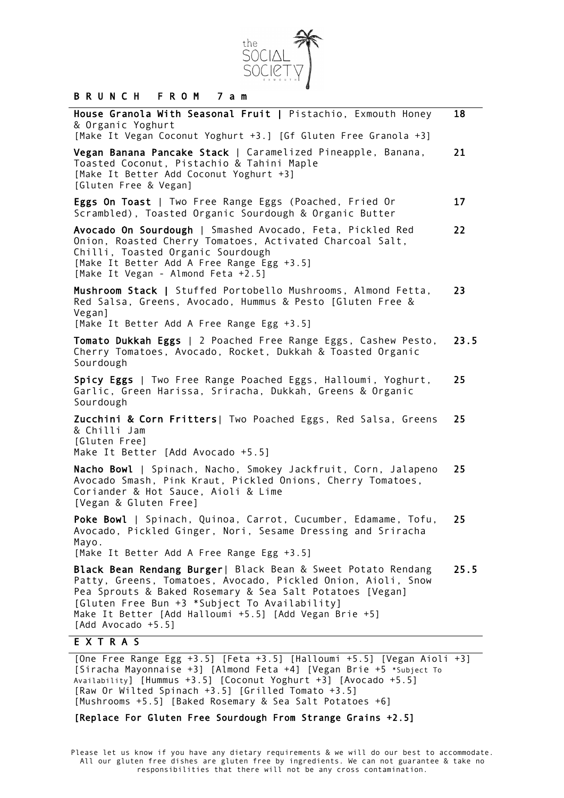

#### B R U N C H F R O M 7 a m

| House Granola With Seasonal Fruit   Pistachio, Exmouth Honey<br>& Organic Yoghurt                                                                                                                                                                                                                                         | 18   |
|---------------------------------------------------------------------------------------------------------------------------------------------------------------------------------------------------------------------------------------------------------------------------------------------------------------------------|------|
| [Make It Vegan Coconut Yoghurt +3.] [Gf Gluten Free Granola +3]                                                                                                                                                                                                                                                           |      |
| Vegan Banana Pancake Stack   Caramelized Pineapple, Banana,<br>Toasted Coconut, Pistachio & Tahini Maple<br>[Make It Better Add Coconut Yoghurt +3]<br>[Gluten Free & Vegan]                                                                                                                                              | 21   |
| Eggs On Toast   Two Free Range Eggs (Poached, Fried Or<br>Scrambled), Toasted Organic Sourdough & Organic Butter                                                                                                                                                                                                          | 17   |
| Avocado On Sourdough   Smashed Avocado, Feta, Pickled Red<br>Onion, Roasted Cherry Tomatoes, Activated Charcoal Salt,<br>Chilli, Toasted Organic Sourdough<br>[Make It Better Add A Free Range Egg +3.5]<br>[Make It Vegan - Almond Feta +2.5]                                                                            | 22   |
| Mushroom Stack   Stuffed Portobello Mushrooms, Almond Fetta,<br>Red Salsa, Greens, Avocado, Hummus & Pesto [Gluten Free &<br>Vegan]                                                                                                                                                                                       | 23   |
| [Make It Better Add A Free Range Egg +3.5]                                                                                                                                                                                                                                                                                |      |
| Tomato Dukkah Eggs   2 Poached Free Range Eggs, Cashew Pesto,<br>Cherry Tomatoes, Avocado, Rocket, Dukkah & Toasted Organic<br>Sourdough                                                                                                                                                                                  | 23.5 |
| Spicy Eggs   Two Free Range Poached Eggs, Halloumi, Yoghurt,<br>Garlic, Green Harissa, Sriracha, Dukkah, Greens & Organic<br>Sourdough                                                                                                                                                                                    | 25   |
| Zucchini & Corn Fritters  Two Poached Eggs, Red Salsa, Greens<br>& Chilli Jam<br>[Gluten Free]                                                                                                                                                                                                                            | 25   |
| Make It Better [Add Avocado +5.5]                                                                                                                                                                                                                                                                                         |      |
| Nacho Bowl   Spinach, Nacho, Smokey Jackfruit, Corn, Jalapeno<br>Avocado Smash, Pink Kraut, Pickled Onions, Cherry Tomatoes,<br>Coriander & Hot Sauce, Aioli & Lime<br>[Vegan & Gluten Free]                                                                                                                              | 25   |
| Poke Bowl   Spinach, Quinoa, Carrot, Cucumber, Edamame, Tofu,<br>Avocado, Pickled Ginger, Nori, Sesame Dressing and Sriracha<br>Mayo.                                                                                                                                                                                     | 25   |
| [Make It Better Add A Free Range Egg +3.5]                                                                                                                                                                                                                                                                                |      |
| Black Bean Rendang Burger  Black Bean & Sweet Potato Rendang<br>Patty, Greens, Tomatoes, Avocado, Pickled Onion, Aioli, Snow<br>Pea Sprouts & Baked Rosemary & Sea Salt Potatoes [Vegan]<br>[Gluten Free Bun +3 *Subject To Availability]<br>Make It Better [Add Halloumi +5.5] [Add Vegan Brie +5]<br>[Add Avocado +5.5] | 25.5 |
| EXTRAS                                                                                                                                                                                                                                                                                                                    |      |
| [One Free Range Egg +3.5] [Feta +3.5] [Halloumi +5.5] [Vegan Aioli +3]                                                                                                                                                                                                                                                    |      |

[Siracha Mayonnaise +3] [Almond Feta +4] [Vegan Brie +5 \*Subject To Availability] [Hummus +3.5] [Coconut Yoghurt +3] [Avocado +5.5] [Raw Or Wilted Spinach +3.5] [Grilled Tomato +3.5] [Mushrooms +5.5] [Baked Rosemary & Sea Salt Potatoes +6]

#### [Replace For Gluten Free Sourdough From Strange Grains +2.5]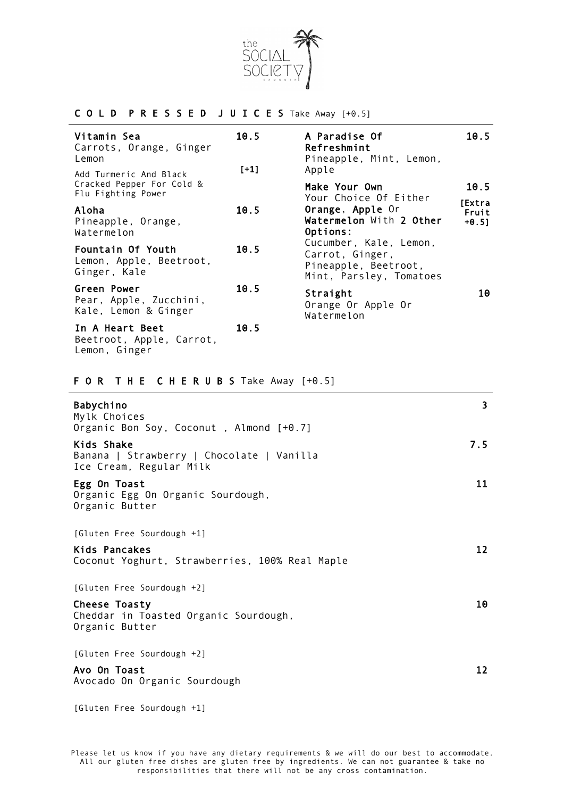

#### C O L D P R E S S E D J U I C E S Take Away [+0.5]

| Vitamin Sea<br>Carrots, Orange, Ginger<br>Lemon                           | 10.5   | A Paradise Of<br>Refreshmint<br>Pineapple, Mint, Lemon,                                                                                                 | 10.5                        |
|---------------------------------------------------------------------------|--------|---------------------------------------------------------------------------------------------------------------------------------------------------------|-----------------------------|
| Add Turmeric And Black<br>Cracked Pepper For Cold &<br>Flu Fighting Power | $[-1]$ | Apple<br>Make Your Own<br>Your Choice Of Either                                                                                                         | 10.5                        |
| Aloha<br>Pineapple, Orange,<br>Watermelon                                 | 10.5   | Orange, Apple Or<br>Watermelon With 2 Other<br>Options:<br>Cucumber, Kale, Lemon,<br>Carrot, Ginger,<br>Pineapple, Beetroot,<br>Mint, Parsley, Tomatoes | [Extra<br>Fruit<br>$+0.5$ ] |
| Fountain Of Youth<br>Lemon, Apple, Beetroot,<br>Ginger, Kale              | 10.5   |                                                                                                                                                         |                             |
| Green Power<br>Pear, Apple, Zucchini,<br>Kale, Lemon & Ginger             | 10.5   | Straight<br>Orange Or Apple Or<br>Watermelon                                                                                                            | 10                          |
| In A Heart Beet<br>Beetroot, Apple, Carrot,                               | 10.5   |                                                                                                                                                         |                             |

## F O R T H E C H E R U B S Take Away [+0.5]

Lemon, Ginger

| Babychino<br>Mylk Choices<br>Organic Bon Soy, Coconut, Almond [+0.7]               | 3   |
|------------------------------------------------------------------------------------|-----|
| Kids Shake<br>Banana   Strawberry   Chocolate   Vanilla<br>Ice Cream, Regular Milk | 7.5 |
| Egg On Toast<br>Organic Egg On Organic Sourdough,<br>Organic Butter                | 11  |
| [Gluten Free Sourdough +1]                                                         |     |
| Kids Pancakes<br>Coconut Yoghurt, Strawberries, 100% Real Maple                    | 12  |
| [Gluten Free Sourdough +2]                                                         |     |
| Cheese Toasty<br>Cheddar in Toasted Organic Sourdough,<br>Organic Butter           | 10  |
| [Gluten Free Sourdough +2]                                                         |     |
| Avo On Toast<br>Avocado On Organic Sourdough                                       | 12  |

[Gluten Free Sourdough +1]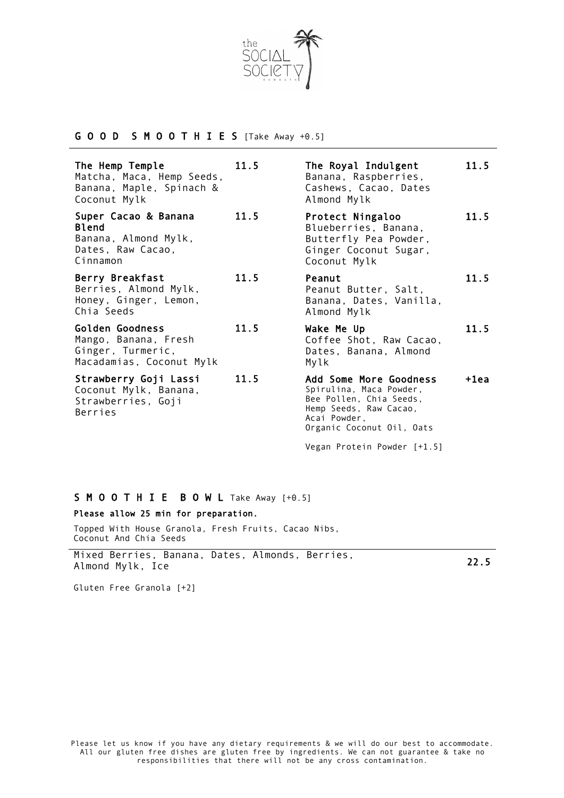

#### G O O D S M O O T H I E S [Take Away +0.5]

| The Hemp Temple<br>Matcha, Maca, Hemp Seeds,<br>Banana, Maple, Spinach &<br>Coconut Mylk      | 11.5 | The Royal Indulgent<br>Banana, Raspberries,<br>Cashews, Cacao, Dates<br>Almond Mylk                                                                 | 11.5 |
|-----------------------------------------------------------------------------------------------|------|-----------------------------------------------------------------------------------------------------------------------------------------------------|------|
| Super Cacao & Banana<br><b>Blend</b><br>Banana, Almond Mylk,<br>Dates, Raw Cacao,<br>Cinnamon | 11.5 | Protect Ningaloo<br>Blueberries, Banana,<br>Butterfly Pea Powder,<br>Ginger Coconut Sugar,<br>Coconut Mylk                                          | 11.5 |
| Berry Breakfast<br>Berries, Almond Mylk,<br>Honey, Ginger, Lemon,<br>Chia Seeds               | 11.5 | Peanut<br>Peanut Butter, Salt,<br>Banana, Dates, Vanilla,<br>Almond Mylk                                                                            | 11.5 |
| Golden Goodness<br>Mango, Banana, Fresh<br>Ginger, Turmeric,<br>Macadamias, Coconut Mylk      | 11.5 | Wake Me Up<br>Coffee Shot, Raw Cacao,<br>Dates, Banana, Almond<br>Mylk                                                                              | 11.5 |
| Strawberry Goji Lassi<br>Coconut Mylk, Banana,<br>Strawberries, Goji<br>Berries               | 11.5 | Add Some More Goodness<br>Spirulina, Maca Powder,<br>Bee Pollen, Chia Seeds,<br>Hemp Seeds, Raw Cacao,<br>Acai Powder,<br>Organic Coconut Oil, Oats | +1ea |
|                                                                                               |      | Vegan Protein Powder [+1.5]                                                                                                                         |      |

#### S M O O T H I E B O W L Take Away [+0.5]

#### Please allow 25 min for preparation.

Topped With House Granola, Fresh Fruits, Cacao Nibs, Coconut And Chia Seeds

Mixed Berries, Banana, Dates, Almonds, Berries, nixed Berries, Banana, Bates, Atmonds, Berries, 2008.<br>Almond Mylk, Ice

Gluten Free Granola [+2]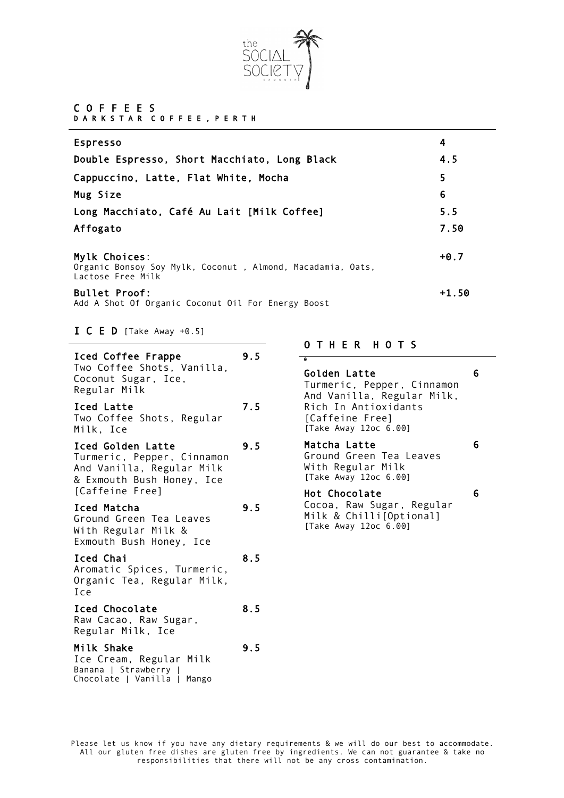

# C O F F E E S<br>D A R K S T A R C O F F E E , P E R T H

| Espresso                                                                                         | 4       |
|--------------------------------------------------------------------------------------------------|---------|
| Double Espresso, Short Macchiato, Long Black                                                     | 4.5     |
| Cappuccino, Latte, Flat White, Mocha                                                             | 5       |
| Mug Size                                                                                         | 6       |
| Long Macchiato, Café Au Lait [Milk Coffee]                                                       | 5.5     |
| Affogato                                                                                         | 7.50    |
| Mylk Choices:<br>Organic Bonsoy Soy Mylk, Coconut, Almond, Macadamia, Oats,<br>Lactose Free Milk | $+0.7$  |
| Bullet Proof:<br>Add A Shot Of Organic Coconut Oil For Energy Boost                              | $+1.50$ |

I C E D [Take Away +0.5]

| Iced Coffee Frappe<br>Two Coffee Shots, Vanilla,<br>Coconut Sugar, Ice,<br>Regular Milk                                      | 9.5 |
|------------------------------------------------------------------------------------------------------------------------------|-----|
| Iced Latte<br>Two Coffee Shots, Regular<br>Milk, Ice                                                                         | 7.5 |
| Iced Golden Latte<br>Turmeric, Pepper, Cinnamon<br>And Vanilla, Regular Milk<br>& Exmouth Bush Honey, Ice<br>[Caffeine Free] | 9.5 |
| Iced Matcha<br>Ground Green Tea Leaves<br>With Regular Milk &<br>Exmouth Bush Honey, Ice                                     | 9.5 |
| Iced Chai<br>Aromatic Spices, Turmeric,<br>Organic Tea, Regular Milk,<br>Ice                                                 | 8.5 |
| Iced Chocolate<br>Raw Cacao, Raw Sugar,<br>Regular Milk, Ice                                                                 | 8.5 |
| Milk Shake<br>Ice Cream, Regular Milk<br>Banana   Strawberry  <br>Chocolate   Vanilla   Mango                                | 9.5 |

#### O T H E R H O T S

| θ                                                                                                                                            |   |
|----------------------------------------------------------------------------------------------------------------------------------------------|---|
| Golden Latte<br>Turmeric, Pepper, Cinnamon<br>And Vanilla, Regular Milk,<br>Rich In Antioxidants<br>[Caffeine Free]<br>[Take Away 12oc 6.00] | 6 |
| Matcha Latte<br>Ground Green Tea Leaves<br>With Regular Milk<br>[Take Away 12oc 6.00]                                                        | 6 |
| Hot Chocolate<br>Cocoa, Raw Sugar, Regular<br>Milk & Chilli[Optional]<br>[Take Away 12oc 6.00]                                               | 6 |